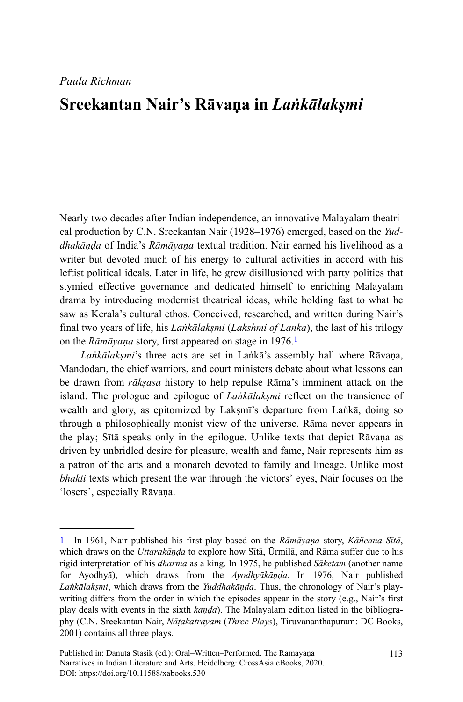# **Sreekantan Nair's Rāvaṇa in** *Laṅkālakṣmi*

Nearly two decades after Indian independence, an innovative Malayalam theatrical production by C.N. Sreekantan Nair (1928–1976) emerged, based on the *Yuddhakāṇḍa* of India's *Rāmāyaṇa* textual tradition. Nair earned his livelihood as a writer but devoted much of his energy to cultural activities in accord with his leftist political ideals. Later in life, he grew disillusioned with party politics that stymied effective governance and dedicated himself to enriching Malayalam drama by introducing modernist theatrical ideas, while holding fast to what he saw as Kerala's cultural ethos. Conceived, researched, and written during Nair's final two years of life, his *Laṅkālakṣmi* (*Lakshmi of Lanka*), the last of his trilogy on the *Rāmāyana* story, first appeared on stage in 1976.<sup>1</sup>

*Laṅkālakṣmi*'s three acts are set in Laṅkā's assembly hall where Rāvaṇa, Mandodarī, the chief warriors, and court ministers debate about what lessons can be drawn from *rākṣasa* history to help repulse Rāma's imminent attack on the island. The prologue and epilogue of *Laṅkālakṣmi* reflect on the transience of wealth and glory, as epitomized by Lakṣmī's departure from Laṅkā, doing so through a philosophically monist view of the universe. Rāma never appears in the play; Sītā speaks only in the epilogue. Unlike texts that depict Rāvaṇa as driven by unbridled desire for pleasure, wealth and fame, Nair represents him as a patron of the arts and a monarch devoted to family and lineage. Unlike most *bhakti* texts which present the war through the victors' eyes, Nair focuses on the 'losers', especially Rāvaṇa.

<sup>1</sup> In 1961, Nair published his first play based on the *Rāmāyaṇa* story, *Kāñcana Sītā*, which draws on the *Uttarakāṇḍa* to explore how Sītā, Ūrmilā, and Rāma suffer due to his rigid interpretation of his *dharma* as a king. In 1975, he published *Sāketam* (another name for Ayodhyā), which draws from the *Ayodhyākāṇḍa*. In 1976, Nair published *Laṅkālakṣmi*, which draws from the *Yuddhakāṇḍa*. Thus, the chronology of Nair's playwriting differs from the order in which the episodes appear in the story (e.g., Nair's first play deals with events in the sixth *kāṇḍa*). The Malayalam edition listed in the bibliography (C.N. Sreekantan Nair, *Nāṭakatrayam* (*Three Plays*), Tiruvananthapuram: DC Books, 2001) contains all three plays.

Published in: Danuta Stasik (ed.): Oral–Written–Performed. The Rāmāyaṇa Narratives in Indian Literature and Arts. Heidelberg: CrossAsia eBooks, 2020. DOI:<https://doi.org/10.11588/xabooks.530>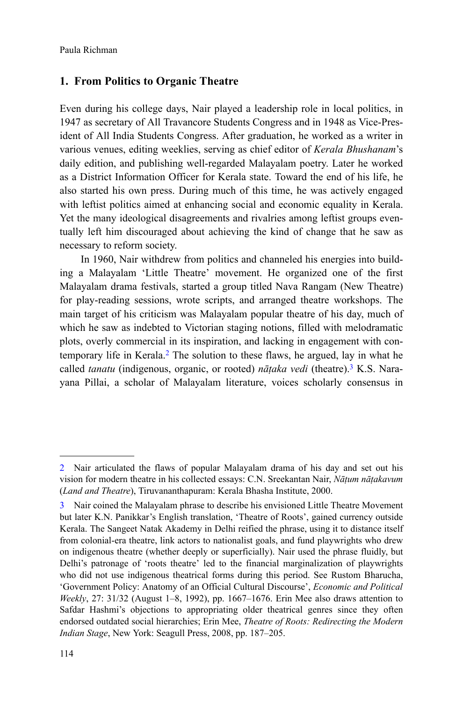# **1. From Politics to Organic Theatre**

Even during his college days, Nair played a leadership role in local politics, in 1947 as secretary of All Travancore Students Congress and in 1948 as Vice-President of All India Students Congress. After graduation, he worked as a writer in various venues, editing weeklies, serving as chief editor of *Kerala Bhushanam*'s daily edition, and publishing well-regarded Malayalam poetry. Later he worked as a District Information Officer for Kerala state. Toward the end of his life, he also started his own press. During much of this time, he was actively engaged with leftist politics aimed at enhancing social and economic equality in Kerala. Yet the many ideological disagreements and rivalries among leftist groups eventually left him discouraged about achieving the kind of change that he saw as necessary to reform society.

In 1960, Nair withdrew from politics and channeled his energies into building a Malayalam 'Little Theatre' movement. He organized one of the first Malayalam drama festivals, started a group titled Nava Rangam (New Theatre) for play-reading sessions, wrote scripts, and arranged theatre workshops. The main target of his criticism was Malayalam popular theatre of his day, much of which he saw as indebted to Victorian staging notions, filled with melodramatic plots, overly commercial in its inspiration, and lacking in engagement with contemporary life in Kerala.<sup>2</sup> The solution to these flaws, he argued, lay in what he called *tanatu* (indigenous, organic, or rooted) *nāṭaka vedi* (theatre).<sup>3</sup> K.S. Narayana Pillai, a scholar of Malayalam literature, voices scholarly consensus in

<sup>2</sup> Nair articulated the flaws of popular Malayalam drama of his day and set out his vision for modern theatre in his collected essays: C.N. Sreekantan Nair, *Nāṭum nāṭakavum* (*Land and Theatre*), Tiruvananthapuram: Kerala Bhasha Institute, 2000.

<sup>3</sup> Nair coined the Malayalam phrase to describe his envisioned Little Theatre Movement but later K.N. Panikkar's English translation, 'Theatre of Roots', gained currency outside Kerala. The Sangeet Natak Akademy in Delhi reified the phrase, using it to distance itself from colonial-era theatre, link actors to nationalist goals, and fund playwrights who drew on indigenous theatre (whether deeply or superficially). Nair used the phrase fluidly, but Delhi's patronage of 'roots theatre' led to the financial marginalization of playwrights who did not use indigenous theatrical forms during this period. See Rustom Bharucha, 'Government Policy: Anatomy of an Official Cultural Discourse', *Economic and Political Weekly*, 27: 31/32 (August 1–8, 1992), pp. 1667–1676. Erin Mee also draws attention to Safdar Hashmi's objections to appropriating older theatrical genres since they often endorsed outdated social hierarchies; Erin Mee, *Theatre of Roots: Redirecting the Modern Indian Stage*, New York: Seagull Press, 2008, pp. 187–205.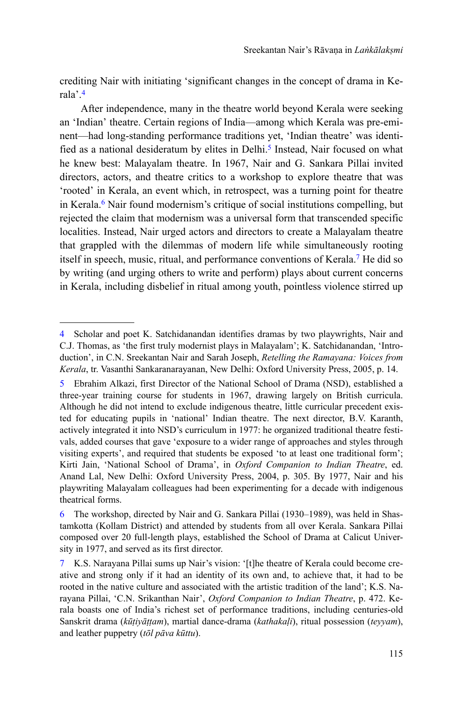crediting Nair with initiating 'significant changes in the concept of drama in Kerala'.<sup>4</sup>

After independence, many in the theatre world beyond Kerala were seeking an 'Indian' theatre. Certain regions of India—among which Kerala was pre-eminent—had long-standing performance traditions yet, 'Indian theatre' was identified as a national desideratum by elites in Delhi.<sup>5</sup> Instead, Nair focused on what he knew best: Malayalam theatre. In 1967, Nair and G. Sankara Pillai invited directors, actors, and theatre critics to a workshop to explore theatre that was 'rooted' in Kerala, an event which, in retrospect, was a turning point for theatre in Kerala.<sup>6</sup> Nair found modernism's critique of social institutions compelling, but rejected the claim that modernism was a universal form that transcended specific localities. Instead, Nair urged actors and directors to create a Malayalam theatre that grappled with the dilemmas of modern life while simultaneously rooting itself in speech, music, ritual, and performance conventions of Kerala.<sup>7</sup> He did so by writing (and urging others to write and perform) plays about current concerns in Kerala, including disbelief in ritual among youth, pointless violence stirred up

<sup>4</sup> Scholar and poet K. Satchidanandan identifies dramas by two playwrights, Nair and C.J. Thomas, as 'the first truly modernist plays in Malayalam'; K. Satchidanandan, 'Introduction', in C.N. Sreekantan Nair and Sarah Joseph, *Retelling the Ramayana: Voices from Kerala*, tr. Vasanthi Sankaranarayanan, New Delhi: Oxford University Press, 2005, p. 14.

<sup>5</sup> Ebrahim Alkazi, first Director of the National School of Drama (NSD), established a three-year training course for students in 1967, drawing largely on British curricula. Although he did not intend to exclude indigenous theatre, little curricular precedent existed for educating pupils in 'national' Indian theatre. The next director, B.V. Karanth, actively integrated it into NSD's curriculum in 1977: he organized traditional theatre festivals, added courses that gave 'exposure to a wider range of approaches and styles through visiting experts', and required that students be exposed 'to at least one traditional form'; Kirti Jain, 'National School of Drama', in *Oxford Companion to Indian Theatre*, ed. Anand Lal, New Delhi: Oxford University Press, 2004, p. 305. By 1977, Nair and his playwriting Malayalam colleagues had been experimenting for a decade with indigenous theatrical forms.

<sup>6</sup> The workshop, directed by Nair and G. Sankara Pillai (1930–1989), was held in Shastamkotta (Kollam District) and attended by students from all over Kerala. Sankara Pillai composed over 20 full-length plays, established the School of Drama at Calicut University in 1977, and served as its first director.

<sup>7</sup> K.S. Narayana Pillai sums up Nair's vision: '[t]he theatre of Kerala could become creative and strong only if it had an identity of its own and, to achieve that, it had to be rooted in the native culture and associated with the artistic tradition of the land'; K.S. Narayana Pillai, 'C.N. Srikanthan Nair', *Oxford Companion to Indian Theatre*, p. 472. Kerala boasts one of India's richest set of performance traditions, including centuries-old Sanskrit drama (*kūṭiyāṭṭam*), martial dance-drama (*kathakaḷi*), ritual possession (*teyyam*), and leather puppetry (*tōl pāva kūttu*).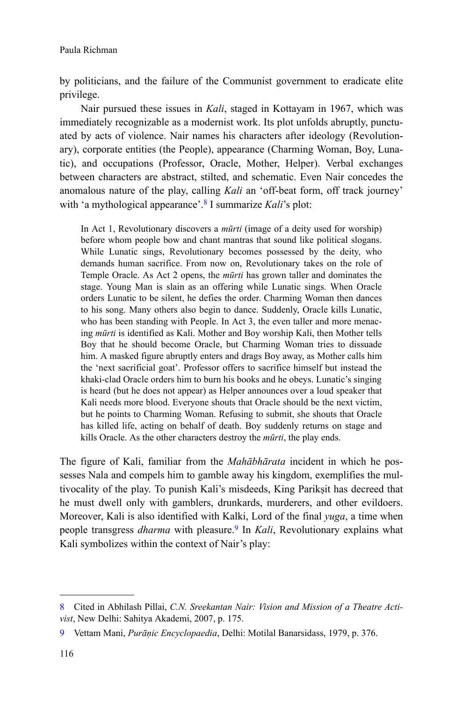by politicians, and the failure of the Communist government to eradicate elite privilege.

Nair pursued these issues in *Kali*, staged in Kottayam in 1967, which was immediately recognizable as a modernist work. Its plot unfolds abruptly, punctuated by acts of violence. Nair names his characters after ideology (Revolutionary), corporate entities (the People), appearance (Charming Woman, Boy, Lunatic), and occupations (Professor, Oracle, Mother, Helper). Verbal exchanges between characters are abstract, stilted, and schematic. Even Nair concedes the anomalous nature of the play, calling *Kali* an 'off-beat form, off track journey' with 'a mythological appearance'.<sup>8</sup> I summarize *Kali*'s plot:

In Act 1, Revolutionary discovers a *mūrti* (image of a deity used for worship) before whom people bow and chant mantras that sound like political slogans. While Lunatic sings, Revolutionary becomes possessed by the deity, who demands human sacrifice. From now on, Revolutionary takes on the role of Temple Oracle. As Act 2 opens, the *mūrti* has grown taller and dominates the stage. Young Man is slain as an offering while Lunatic sings. When Oracle orders Lunatic to be silent, he defies the order. Charming Woman then dances to his song. Many others also begin to dance. Suddenly, Oracle kills Lunatic, who has been standing with People. In Act 3, the even taller and more menacing *mūrti* is identified as Kali. Mother and Boy worship Kali, then Mother tells Boy that he should become Oracle, but Charming Woman tries to dissuade him. A masked figure abruptly enters and drags Boy away, as Mother calls him the 'next sacrificial goat'. Professor offers to sacrifice himself but instead the khaki-clad Oracle orders him to burn his books and he obeys. Lunatic's singing is heard (but he does not appear) as Helper announces over a loud speaker that Kali needs more blood. Everyone shouts that Oracle should be the next victim, but he points to Charming Woman. Refusing to submit, she shouts that Oracle has killed life, acting on behalf of death. Boy suddenly returns on stage and kills Oracle. As the other characters destroy the *mūrti*, the play ends.

The figure of Kali, familiar from the *Mahābhārata* incident in which he possesses Nala and compels him to gamble away his kingdom, exemplifies the multivocality of the play. To punish Kali's misdeeds, King Parikṣit has decreed that he must dwell only with gamblers, drunkards, murderers, and other evildoers. Moreover, Kali is also identified with Kalki, Lord of the final *yuga*, a time when people transgress *dharma* with pleasure.<sup>9</sup> In *Kali*, Revolutionary explains what Kali symbolizes within the context of Nair's play:

<sup>8</sup> Cited in Abhilash Pillai, *C.N. Sreekantan Nair: Vision and Mission of a Theatre Activist*, New Delhi: Sahitya Akademi, 2007, p. 175.

<sup>9</sup> Vettam Mani, *Purāṇic Encyclopaedia*, Delhi: Motilal Banarsidass, 1979, p. 376.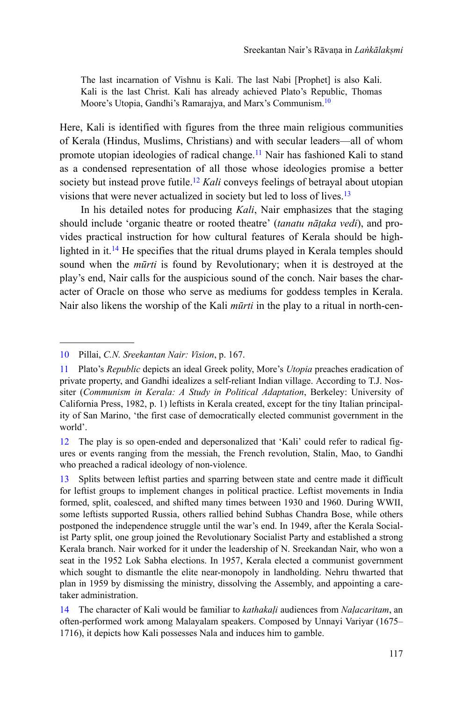The last incarnation of Vishnu is Kali. The last Nabi [Prophet] is also Kali. Kali is the last Christ. Kali has already achieved Plato's Republic, Thomas Moore's Utopia, Gandhi's Ramarajya, and Marx's Communism.<sup>10</sup>

Here, Kali is identified with figures from the three main religious communities of Kerala (Hindus, Muslims, Christians) and with secular leaders—all of whom promote utopian ideologies of radical change.<sup>11</sup> Nair has fashioned Kali to stand as a condensed representation of all those whose ideologies promise a better society but instead prove futile.<sup>12</sup> *Kali* conveys feelings of betrayal about utopian visions that were never actualized in society but led to loss of lives.<sup>13</sup>

In his detailed notes for producing *Kali*, Nair emphasizes that the staging should include 'organic theatre or rooted theatre' (*tanatu nāṭaka vedi*), and provides practical instruction for how cultural features of Kerala should be highlighted in it.<sup>14</sup> He specifies that the ritual drums played in Kerala temples should sound when the *mūrti* is found by Revolutionary; when it is destroyed at the play's end, Nair calls for the auspicious sound of the conch. Nair bases the character of Oracle on those who serve as mediums for goddess temples in Kerala. Nair also likens the worship of the Kali *mūrti* in the play to a ritual in north-cen-

<sup>10</sup> Pillai, *C.N. Sreekantan Nair: Vision*, p. 167.

<sup>11</sup> Plato's *Republic* depicts an ideal Greek polity, More's *Utopia* preaches eradication of private property, and Gandhi idealizes a self-reliant Indian village. According to T.J. Nossiter (*Communism in Kerala: A Study in Political Adaptation*, Berkeley: University of California Press, 1982, p. 1) leftists in Kerala created, except for the tiny Italian principality of San Marino, 'the first case of democratically elected communist government in the world'.

<sup>12</sup> The play is so open-ended and depersonalized that 'Kali' could refer to radical figures or events ranging from the messiah, the French revolution, Stalin, Mao, to Gandhi who preached a radical ideology of non-violence.

<sup>13</sup> Splits between leftist parties and sparring between state and centre made it difficult for leftist groups to implement changes in political practice. Leftist movements in India formed, split, coalesced, and shifted many times between 1930 and 1960. During WWII, some leftists supported Russia, others rallied behind Subhas Chandra Bose, while others postponed the independence struggle until the war's end. In 1949, after the Kerala Socialist Party split, one group joined the Revolutionary Socialist Party and established a strong Kerala branch. Nair worked for it under the leadership of N. Sreekandan Nair, who won a seat in the 1952 Lok Sabha elections. In 1957, Kerala elected a communist government which sought to dismantle the elite near-monopoly in landholding. Nehru thwarted that plan in 1959 by dismissing the ministry, dissolving the Assembly, and appointing a caretaker administration.

<sup>14</sup> The character of Kali would be familiar to *kathakaḷi* audiences from *Naḷacaritam*, an often-performed work among Malayalam speakers. Composed by Unnayi Variyar (1675– 1716), it depicts how Kali possesses Nala and induces him to gamble.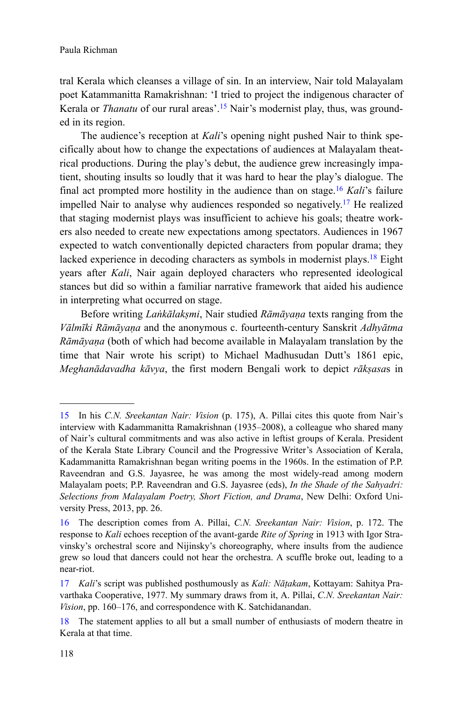tral Kerala which cleanses a village of sin. In an interview, Nair told Malayalam poet Katammanitta Ramakrishnan: 'I tried to project the indigenous character of Kerala or *Thanatu* of our rural areas'.<sup>15</sup> Nair's modernist play, thus, was grounded in its region.

The audience's reception at *Kali*'s opening night pushed Nair to think specifically about how to change the expectations of audiences at Malayalam theatrical productions. During the play's debut, the audience grew increasingly impatient, shouting insults so loudly that it was hard to hear the play's dialogue. The final act prompted more hostility in the audience than on stage.<sup>16</sup> *Kali*'s failure impelled Nair to analyse why audiences responded so negatively.<sup>17</sup> He realized that staging modernist plays was insufficient to achieve his goals; theatre workers also needed to create new expectations among spectators. Audiences in 1967 expected to watch conventionally depicted characters from popular drama; they lacked experience in decoding characters as symbols in modernist plays.<sup>18</sup> Eight years after *Kali*, Nair again deployed characters who represented ideological stances but did so within a familiar narrative framework that aided his audience in interpreting what occurred on stage.

Before writing *Laṅkālakṣmi*, Nair studied *Rāmāyaṇa* texts ranging from the *Vālmīki Rāmāyaṇa* and the anonymous c. fourteenth-century Sanskrit *Adhyātma Rāmāyaṇa* (both of which had become available in Malayalam translation by the time that Nair wrote his script) to Michael Madhusudan Dutt's 1861 epic, *Meghanādavadha kāvya*, the first modern Bengali work to depict *rākṣasa*s in

<sup>15</sup> In his *C.N. Sreekantan Nair: Vision* (p. 175), A. Pillai cites this quote from Nair's interview with Kadammanitta Ramakrishnan (1935–2008), a colleague who shared many of Nair's cultural commitments and was also active in leftist groups of Kerala. President of the Kerala State Library Council and the Progressive Writer's Association of Kerala, Kadammanitta Ramakrishnan began writing poems in the 1960s. In the estimation of P.P. Raveendran and G.S. Jayasree, he was among the most widely-read among modern Malayalam poets; P.P. Raveendran and G.S. Jayasree (eds), *In the Shade of the Sahyadri: Selections from Malayalam Poetry, Short Fiction, and Drama*, New Delhi: Oxford University Press, 2013, pp. 26.

<sup>16</sup> The description comes from A. Pillai, *C.N. Sreekantan Nair: Vision*, p. 172. The response to *Kali* echoes reception of the avant-garde *Rite of Spring* in 1913 with Igor Stravinsky's orchestral score and Nijinsky's choreography, where insults from the audience grew so loud that dancers could not hear the orchestra. A scuffle broke out, leading to a near-riot.

<sup>17</sup> *Kali*'s script was published posthumously as *Kali: Nāṭakam*, Kottayam: Sahitya Pravarthaka Cooperative, 1977. My summary draws from it, A. Pillai, *C.N. Sreekantan Nair: Vision*, pp. 160–176, and correspondence with K. Satchidanandan.

<sup>18</sup> The statement applies to all but a small number of enthusiasts of modern theatre in Kerala at that time.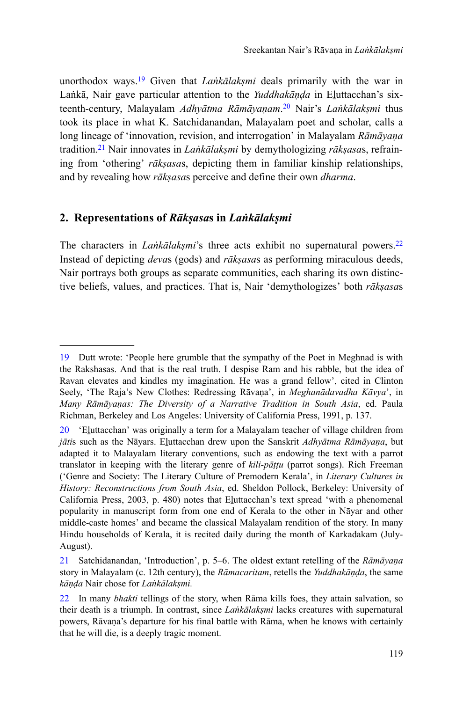unorthodox ways.<sup>19</sup> Given that *Laṅkālakṣmi* deals primarily with the war in Laṅkā, Nair gave particular attention to the *Yuddhakāṇḍa* in Eḻuttacchan's sixteenth-century, Malayalam *Adhyātma Rāmāyaṇam*. <sup>20</sup> Nair's *Laṅkālakṣmi* thus took its place in what K. Satchidanandan, Malayalam poet and scholar, calls a long lineage of 'innovation, revision, and interrogation' in Malayalam *Rāmāyaṇa* tradition.<sup>21</sup> Nair innovates in *Laṅkālakṣmi* by demythologizing *rākṣasa*s, refraining from 'othering' *rākṣasa*s, depicting them in familiar kinship relationships, and by revealing how *rākṣasa*s perceive and define their own *dharma*.

## **2. Representations of** *Rākṣasa***s in** *Laṅkālakṣmi*

The characters in *Laṅkālakṣmi*'s three acts exhibit no supernatural powers.<sup>22</sup> Instead of depicting *deva*s (gods) and *rākṣasa*s as performing miraculous deeds, Nair portrays both groups as separate communities, each sharing its own distinctive beliefs, values, and practices. That is, Nair 'demythologizes' both *rākṣasa*s

<sup>19</sup> Dutt wrote: 'People here grumble that the sympathy of the Poet in Meghnad is with the Rakshasas. And that is the real truth. I despise Ram and his rabble, but the idea of Ravan elevates and kindles my imagination. He was a grand fellow', cited in Clinton Seely, 'The Raja's New Clothes: Redressing Rāvaṇa', in *Meghanādavadha Kāvya*', in *Many Rāmāyaṇas: The Diversity of a Narrative Tradition in South Asia*, ed. Paula Richman, Berkeley and Los Angeles: University of California Press, 1991, p. 137.

<sup>20</sup> 'Eḻuttacchan' was originally a term for a Malayalam teacher of village children from *jāti*s such as the Nāyars. Eḻuttacchan drew upon the Sanskrit *Adhyātma Rāmāyaṇa*, but adapted it to Malayalam literary conventions, such as endowing the text with a parrot translator in keeping with the literary genre of *kili-pāṭṭu* (parrot songs). Rich Freeman ('Genre and Society: The Literary Culture of Premodern Kerala', in *Literary Cultures in History: Reconstructions from South Asia*, ed. Sheldon Pollock, Berkeley: University of California Press, 2003, p. 480) notes that Eḻuttacchan's text spread 'with a phenomenal popularity in manuscript form from one end of Kerala to the other in Nāyar and other middle-caste homes' and became the classical Malayalam rendition of the story. In many Hindu households of Kerala, it is recited daily during the month of Karkadakam (July-August).

<sup>21</sup> Satchidanandan, 'Introduction', p. 5–6. The oldest extant retelling of the *Rāmāyaṇa* story in Malayalam (c. 12th century), the *Rāmacaritam*, retells the *Yuddhakāṇḍa*, the same *kāṇḍa* Nair chose for *Laṅkālakṣmi.*

<sup>22</sup> In many *bhakti* tellings of the story, when Rāma kills foes, they attain salvation, so their death is a triumph. In contrast, since *Lankālaksmi* lacks creatures with supernatural powers, Rāvaṇa's departure for his final battle with Rāma, when he knows with certainly that he will die, is a deeply tragic moment.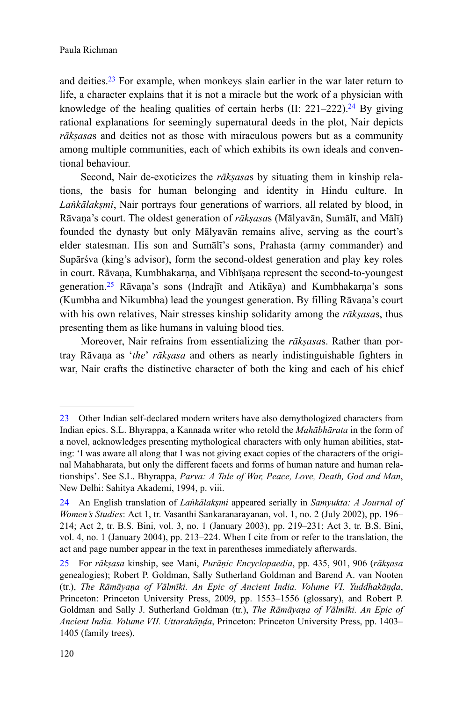and deities.<sup>23</sup> For example, when monkeys slain earlier in the war later return to life, a character explains that it is not a miracle but the work of a physician with knowledge of the healing qualities of certain herbs  $(II: 221-222).^{24}$  By giving rational explanations for seemingly supernatural deeds in the plot, Nair depicts *rākṣasa*s and deities not as those with miraculous powers but as a community among multiple communities, each of which exhibits its own ideals and conventional behaviour.

Second, Nair de-exoticizes the *rākṣasa*s by situating them in kinship relations, the basis for human belonging and identity in Hindu culture. In *Laṅkālakṣmi*, Nair portrays four generations of warriors, all related by blood, in Rāvaṇa's court. The oldest generation of *rākṣasa*s (Mālyavān, Sumālī, and Mālī) founded the dynasty but only Mālyavān remains alive, serving as the court's elder statesman. His son and Sumālī's sons, Prahasta (army commander) and Supārśva (king's advisor), form the second-oldest generation and play key roles in court. Rāvaṇa, Kumbhakarṇa, and Vibhīṣaṇa represent the second-to-youngest generation.<sup>25</sup> Rāvaņa's sons (Indrajīt and Atikāya) and Kumbhakarna's sons (Kumbha and Nikumbha) lead the youngest generation. By filling Rāvaṇa's court with his own relatives, Nair stresses kinship solidarity among the *rākṣasa*s, thus presenting them as like humans in valuing blood ties.

Moreover, Nair refrains from essentializing the *rākṣasa*s. Rather than portray Rāvaṇa as '*the*' *rākṣasa* and others as nearly indistinguishable fighters in war, Nair crafts the distinctive character of both the king and each of his chief

<sup>23</sup> Other Indian self-declared modern writers have also demythologized characters from Indian epics. S.L. Bhyrappa, a Kannada writer who retold the *Mahābhārata* in the form of a novel, acknowledges presenting mythological characters with only human abilities, stating: 'I was aware all along that I was not giving exact copies of the characters of the original Mahabharata, but only the different facets and forms of human nature and human relationships'. See S.L. Bhyrappa, *Parva: A Tale of War, Peace, Love, Death, God and Man*, New Delhi: Sahitya Akademi, 1994, p. viii.

<sup>24</sup> An English translation of *Laṅkālakṣmi* appeared serially in *Samyukta: A Journal of Women's Studies*: Act 1, tr. Vasanthi Sankaranarayanan, vol. 1, no. 2 (July 2002), pp. 196– 214; Act 2, tr. B.S. Bini, vol. 3, no. 1 (January 2003), pp. 219–231; Act 3, tr. B.S. Bini, vol. 4, no. 1 (January 2004), pp. 213–224. When I cite from or refer to the translation, the act and page number appear in the text in parentheses immediately afterwards.

<sup>25</sup> For *rākṣasa* kinship, see Mani, *Purāṇic Encyclopaedia*, pp. 435, 901, 906 (*rākṣasa* genealogies); Robert P. Goldman, Sally Sutherland Goldman and Barend A. van Nooten (tr.), *The Rāmāyaṇa of Vālmīki. An Epic of Ancient India. Volume VI. Yuddhakāṇḍa*, Princeton: Princeton University Press, 2009, pp. 1553–1556 (glossary), and Robert P. Goldman and Sally J. Sutherland Goldman (tr.), *The Rāmāyaṇa of Vālmīki. An Epic of Ancient India. Volume VII. Uttarakāṇḍa*, Princeton: Princeton University Press, pp. 1403– 1405 (family trees).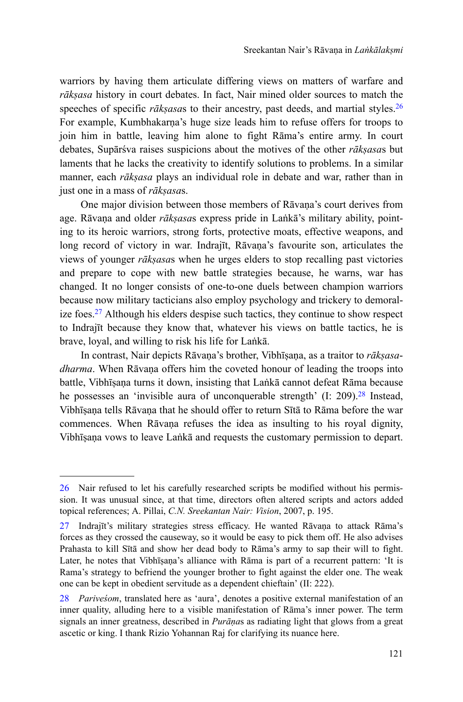warriors by having them articulate differing views on matters of warfare and *rākṣasa* history in court debates. In fact, Nair mined older sources to match the speeches of specific *rāksasas* to their ancestry, past deeds, and martial styles.<sup>26</sup> For example, Kumbhakarna's huge size leads him to refuse offers for troops to join him in battle, leaving him alone to fight Rāma's entire army. In court debates, Supārśva raises suspicions about the motives of the other *rākṣasa*s but laments that he lacks the creativity to identify solutions to problems. In a similar manner, each *rākṣasa* plays an individual role in debate and war, rather than in just one in a mass of *rākṣasa*s.

One major division between those members of Rāvaṇa's court derives from age. Rāvaṇa and older *rākṣasa*s express pride in Laṅkā's military ability, pointing to its heroic warriors, strong forts, protective moats, effective weapons, and long record of victory in war. Indrajīt, Rāvaṇa's favourite son, articulates the views of younger *rākṣasa*s when he urges elders to stop recalling past victories and prepare to cope with new battle strategies because, he warns, war has changed. It no longer consists of one-to-one duels between champion warriors because now military tacticians also employ psychology and trickery to demoralize foes.<sup>27</sup> Although his elders despise such tactics, they continue to show respect to Indrajīt because they know that, whatever his views on battle tactics, he is brave, loyal, and willing to risk his life for Laṅkā.

In contrast, Nair depicts Rāvaṇa's brother, Vibhīṣaṇa, as a traitor to *rākṣasadharma*. When Rāvaṇa offers him the coveted honour of leading the troops into battle, Vibhīṣaṇa turns it down, insisting that Laṅkā cannot defeat Rāma because he possesses an 'invisible aura of unconquerable strength'  $(I: 209)$ .<sup>28</sup> Instead, Vibhīṣaṇa tells Rāvaṇa that he should offer to return Sītā to Rāma before the war commences. When Rāvaṇa refuses the idea as insulting to his royal dignity, Vibhīṣaṇa vows to leave Laṅkā and requests the customary permission to depart.

<sup>26</sup> Nair refused to let his carefully researched scripts be modified without his permission. It was unusual since, at that time, directors often altered scripts and actors added topical references; A. Pillai, *C.N. Sreekantan Nair: Vision*, 2007, p. 195.

<sup>27</sup> Indrajīt's military strategies stress efficacy. He wanted Rāvaṇa to attack Rāma's forces as they crossed the causeway, so it would be easy to pick them off. He also advises Prahasta to kill Sītā and show her dead body to Rāma's army to sap their will to fight. Later, he notes that Vibhīsana's alliance with Rāma is part of a recurrent pattern: 'It is Rama's strategy to befriend the younger brother to fight against the elder one. The weak one can be kept in obedient servitude as a dependent chieftain' (II: 222).

<sup>28</sup> *Pariveśom*, translated here as 'aura', denotes a positive external manifestation of an inner quality, alluding here to a visible manifestation of Rāma's inner power. The term signals an inner greatness, described in *Purāṇa*s as radiating light that glows from a great ascetic or king. I thank Rizio Yohannan Raj for clarifying its nuance here.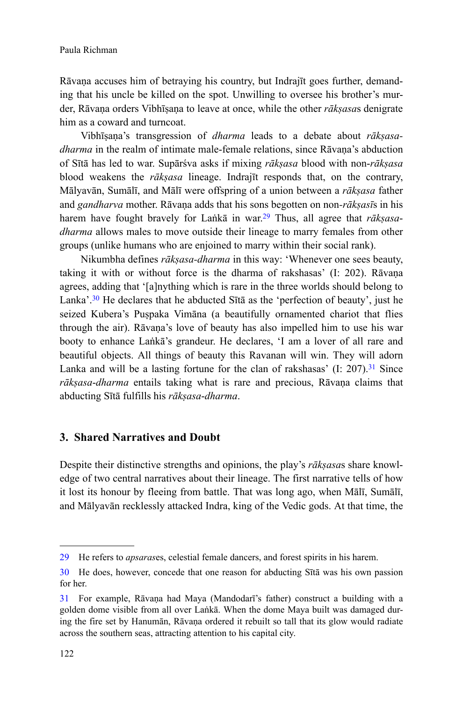Rāvaṇa accuses him of betraying his country, but Indrajīt goes further, demanding that his uncle be killed on the spot. Unwilling to oversee his brother's murder, Rāvaṇa orders Vibhīṣaṇa to leave at once, while the other *rākṣasa*s denigrate him as a coward and turncoat.

Vibhīṣaṇa's transgression of *dharma* leads to a debate about *rākṣasadharma* in the realm of intimate male-female relations, since Rāvana's abduction of Sītā has led to war. Supārśva asks if mixing *rākṣasa* blood with non-*rākṣasa* blood weakens the *rākṣasa* lineage. Indrajīt responds that, on the contrary, Mālyavān, Sumālī, and Mālī were offspring of a union between a *rākṣasa* father and *gandharva* mother. Rāvaṇa adds that his sons begotten on non*-rākṣasī*s in his harem have fought bravely for Laṅkā in war.29 Thus, all agree that *rākṣasadharma* allows males to move outside their lineage to marry females from other groups (unlike humans who are enjoined to marry within their social rank).

Nikumbha defines *rākṣasa-dharma* in this way: 'Whenever one sees beauty, taking it with or without force is the dharma of rakshasas' (I: 202). Rāvaṇa agrees, adding that '[a]nything which is rare in the three worlds should belong to Lanka'.<sup>30</sup> He declares that he abducted Sītā as the 'perfection of beauty', just he seized Kubera's Puṣpaka Vimāna (a beautifully ornamented chariot that flies through the air). Rāvaṇa's love of beauty has also impelled him to use his war booty to enhance Laṅkā's grandeur. He declares, 'I am a lover of all rare and beautiful objects. All things of beauty this Ravanan will win. They will adorn Lanka and will be a lasting fortune for the clan of rakshasas'  $(I: 207)$ .<sup>31</sup> Since *rākṣasa*-*dharma* entails taking what is rare and precious, Rāvaṇa claims that abducting Sītā fulfills his *rākṣasa*-*dharma*.

## **3. Shared Narratives and Doubt**

Despite their distinctive strengths and opinions, the play's *rākṣasa*s share knowledge of two central narratives about their lineage. The first narrative tells of how it lost its honour by fleeing from battle. That was long ago, when Mālī, Sumālī, and Mālyavān recklessly attacked Indra, king of the Vedic gods. At that time, the

<sup>29</sup> He refers to *apsaras*es, celestial female dancers, and forest spirits in his harem.

<sup>30</sup> He does, however, concede that one reason for abducting Sītā was his own passion for her.

<sup>31</sup> For example, Rāvaṇa had Maya (Mandodarī's father) construct a building with a golden dome visible from all over Laṅkā. When the dome Maya built was damaged during the fire set by Hanumān, Rāvaṇa ordered it rebuilt so tall that its glow would radiate across the southern seas, attracting attention to his capital city.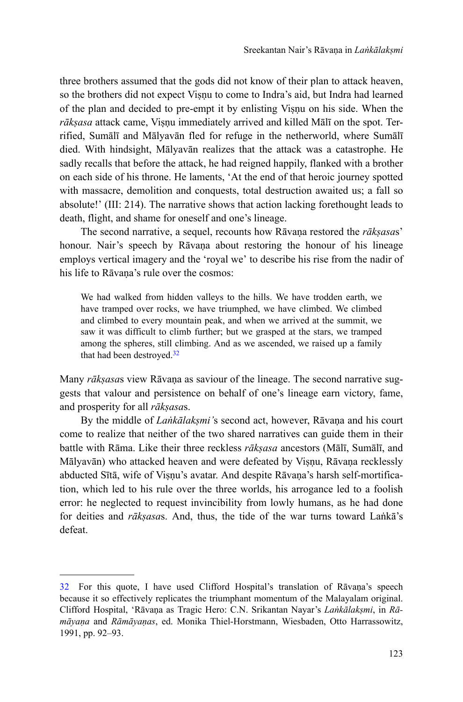three brothers assumed that the gods did not know of their plan to attack heaven, so the brothers did not expect Visnu to come to Indra's aid, but Indra had learned of the plan and decided to pre-empt it by enlisting Viṣṇu on his side. When the *rākṣasa* attack came, Viṣṇu immediately arrived and killed Mālī on the spot. Terrified, Sumālī and Mālyavān fled for refuge in the netherworld, where Sumālī died. With hindsight, Mālyavān realizes that the attack was a catastrophe. He sadly recalls that before the attack, he had reigned happily, flanked with a brother on each side of his throne. He laments, 'At the end of that heroic journey spotted with massacre, demolition and conquests, total destruction awaited us; a fall so absolute!' (III: 214). The narrative shows that action lacking forethought leads to death, flight, and shame for oneself and one's lineage.

The second narrative, a sequel, recounts how Rāvaṇa restored the *rākṣasa*s' honour. Nair's speech by Rāvaṇa about restoring the honour of his lineage employs vertical imagery and the 'royal we' to describe his rise from the nadir of his life to Rāvana's rule over the cosmos:

We had walked from hidden valleys to the hills. We have trodden earth, we have tramped over rocks, we have triumphed, we have climbed. We climbed and climbed to every mountain peak, and when we arrived at the summit, we saw it was difficult to climb further; but we grasped at the stars, we tramped among the spheres, still climbing. And as we ascended, we raised up a family that had been destroyed.<sup>32</sup>

Many *rākṣasa*s view Rāvaṇa as saviour of the lineage. The second narrative suggests that valour and persistence on behalf of one's lineage earn victory, fame, and prosperity for all *rākṣasa*s.

By the middle of *Laṅkālakṣmi'*s second act, however, Rāvaṇa and his court come to realize that neither of the two shared narratives can guide them in their battle with Rāma. Like their three reckless *rākṣasa* ancestors (Mālī, Sumālī, and Mālyavān) who attacked heaven and were defeated by Viṣṇu, Rāvaṇa recklessly abducted Sītā, wife of Viṣṇu's avatar. And despite Rāvaṇa's harsh self-mortification, which led to his rule over the three worlds, his arrogance led to a foolish error: he neglected to request invincibility from lowly humans, as he had done for deities and *rākṣasa*s. And, thus, the tide of the war turns toward Laṅkā's defeat.

<sup>32</sup> For this quote, I have used Clifford Hospital's translation of Rāvaṇa's speech because it so effectively replicates the triumphant momentum of the Malayalam original. Clifford Hospital, 'Rāvaṇa as Tragic Hero: C.N. Srikantan Nayar's *Laṅkālakṣmi*, in *Rāmāyaṇa* and *Rāmāyaṇas*, ed. Monika Thiel-Horstmann, Wiesbaden, Otto Harrassowitz, 1991, pp. 92–93.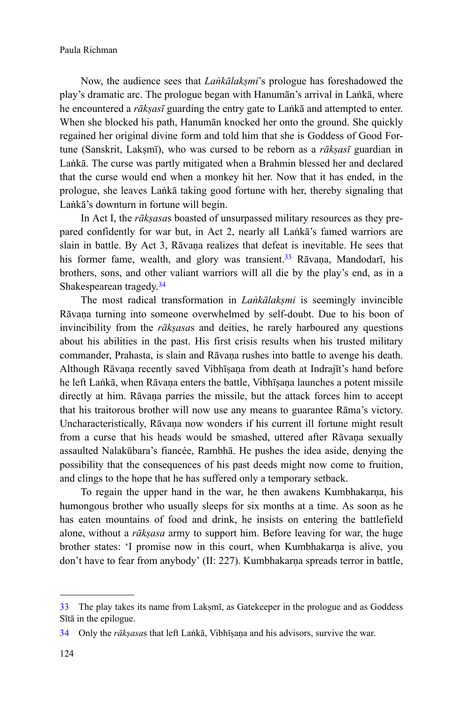Now, the audience sees that *Laṅkālakṣmi*'s prologue has foreshadowed the play's dramatic arc. The prologue began with Hanumān's arrival in Laṅkā, where he encountered a *rākṣasī* guarding the entry gate to Laṅkā and attempted to enter. When she blocked his path, Hanumān knocked her onto the ground. She quickly regained her original divine form and told him that she is Goddess of Good Fortune (Sanskrit, Laksmī), who was cursed to be reborn as a *rākṣasī* guardian in Laṅkā. The curse was partly mitigated when a Brahmin blessed her and declared that the curse would end when a monkey hit her. Now that it has ended, in the prologue, she leaves Laṅkā taking good fortune with her, thereby signaling that Laṅkā's downturn in fortune will begin.

In Act I, the *rākṣasa*s boasted of unsurpassed military resources as they prepared confidently for war but, in Act 2, nearly all Laṅkā's famed warriors are slain in battle. By Act 3, Rāvaṇa realizes that defeat is inevitable. He sees that his former fame, wealth, and glory was transient.<sup>33</sup> Rāvana, Mandodarī, his brothers, sons, and other valiant warriors will all die by the play's end, as in a Shakespearean tragedy.<sup>34</sup>

The most radical transformation in *Laṅkālakṣmi* is seemingly invincible Rāvaṇa turning into someone overwhelmed by self-doubt. Due to his boon of invincibility from the *rākṣasa*s and deities, he rarely harboured any questions about his abilities in the past. His first crisis results when his trusted military commander, Prahasta, is slain and Rāvaṇa rushes into battle to avenge his death. Although Rāvaṇa recently saved Vibhīṣaṇa from death at Indrajīt's hand before he left Lañkā, when Rāvana enters the battle, Vibhīsana launches a potent missile directly at him. Rāvaṇa parries the missile, but the attack forces him to accept that his traitorous brother will now use any means to guarantee Rāma's victory. Uncharacteristically, Rāvaṇa now wonders if his current ill fortune might result from a curse that his heads would be smashed, uttered after Rāvaṇa sexually assaulted Nalakūbara's fiancée, Rambhā. He pushes the idea aside, denying the possibility that the consequences of his past deeds might now come to fruition, and clings to the hope that he has suffered only a temporary setback.

To regain the upper hand in the war, he then awakens Kumbhakarṇa, his humongous brother who usually sleeps for six months at a time. As soon as he has eaten mountains of food and drink, he insists on entering the battlefield alone, without a *rākṣasa* army to support him. Before leaving for war, the huge brother states: 'I promise now in this court, when Kumbhakarṇa is alive, you don't have to fear from anybody' (II: 227). Kumbhakarṇa spreads terror in battle,

<sup>33</sup> The play takes its name from Lakṣmī, as Gatekeeper in the prologue and as Goddess Sītā in the epilogue.

<sup>34</sup> Only the *rākṣasa*s that left Laṅkā, Vibhīṣaṇa and his advisors, survive the war.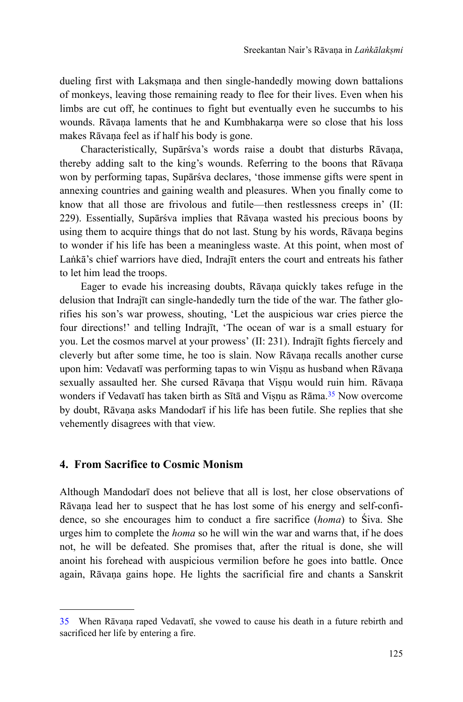dueling first with Laksmana and then single-handedly mowing down battalions of monkeys, leaving those remaining ready to flee for their lives. Even when his limbs are cut off, he continues to fight but eventually even he succumbs to his wounds. Rāvana laments that he and Kumbhakarna were so close that his loss makes Rāvaṇa feel as if half his body is gone.

Characteristically, Supārśva's words raise a doubt that disturbs Rāvaṇa, thereby adding salt to the king's wounds. Referring to the boons that Rāvaṇa won by performing tapas, Supārśva declares, 'those immense gifts were spent in annexing countries and gaining wealth and pleasures. When you finally come to know that all those are frivolous and futile—then restlessness creeps in' (II: 229). Essentially, Supārśva implies that Rāvaṇa wasted his precious boons by using them to acquire things that do not last. Stung by his words, Rāvaṇa begins to wonder if his life has been a meaningless waste. At this point, when most of Laṅkā's chief warriors have died, Indrajīt enters the court and entreats his father to let him lead the troops.

Eager to evade his increasing doubts, Rāvaṇa quickly takes refuge in the delusion that Indrajīt can single-handedly turn the tide of the war. The father glorifies his son's war prowess, shouting, 'Let the auspicious war cries pierce the four directions!' and telling Indrajīt, 'The ocean of war is a small estuary for you. Let the cosmos marvel at your prowess' (II: 231). Indrajīt fights fiercely and cleverly but after some time, he too is slain. Now Rāvaṇa recalls another curse upon him: Vedavatī was performing tapas to win Viṣṇu as husband when Rāvaṇa sexually assaulted her. She cursed Rāvaṇa that Viṣṇu would ruin him. Rāvaṇa wonders if Vedavatī has taken birth as Sītā and Visnu as Rāma.<sup>35</sup> Now overcome by doubt, Rāvaṇa asks Mandodarī if his life has been futile. She replies that she vehemently disagrees with that view.

#### **4. From Sacrifice to Cosmic Monism**

Although Mandodarī does not believe that all is lost, her close observations of Rāvaṇa lead her to suspect that he has lost some of his energy and self-confidence, so she encourages him to conduct a fire sacrifice (*homa*) to Śiva. She urges him to complete the *homa* so he will win the war and warns that, if he does not, he will be defeated. She promises that, after the ritual is done, she will anoint his forehead with auspicious vermilion before he goes into battle. Once again, Rāvaṇa gains hope. He lights the sacrificial fire and chants a Sanskrit

<sup>35</sup> When Rāvaṇa raped Vedavatī, she vowed to cause his death in a future rebirth and sacrificed her life by entering a fire.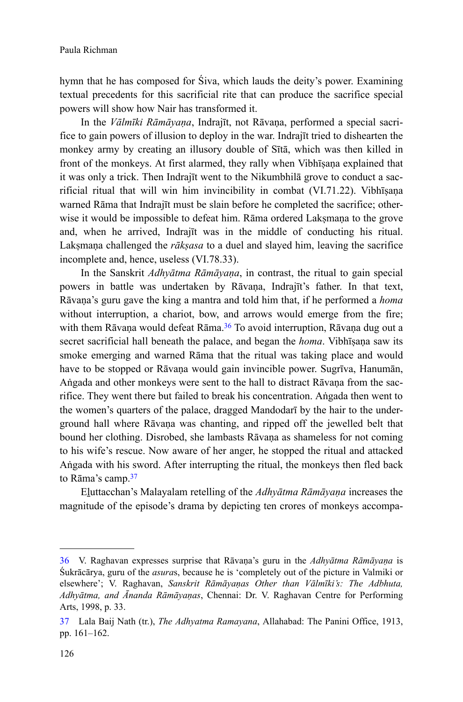hymn that he has composed for Śiva, which lauds the deity's power. Examining textual precedents for this sacrificial rite that can produce the sacrifice special powers will show how Nair has transformed it.

In the *Vālmīki Rāmāyaṇa*, Indrajīt, not Rāvaṇa, performed a special sacrifice to gain powers of illusion to deploy in the war. Indrajīt tried to dishearten the monkey army by creating an illusory double of Sītā, which was then killed in front of the monkeys. At first alarmed, they rally when Vibhīṣaṇa explained that it was only a trick. Then Indrajīt went to the Nikumbhilā grove to conduct a sacrificial ritual that will win him invincibility in combat (VI.71.22). Vibhīṣaṇa warned Rāma that Indrajīt must be slain before he completed the sacrifice; otherwise it would be impossible to defeat him. Rama ordered Laksmana to the grove and, when he arrived, Indrajīt was in the middle of conducting his ritual. Lakṣmaṇa challenged the *rākṣasa* to a duel and slayed him, leaving the sacrifice incomplete and, hence, useless (VI.78.33).

In the Sanskrit *Adhyātma Rāmāyaṇa*, in contrast, the ritual to gain special powers in battle was undertaken by Rāvaṇa, Indrajīt's father. In that text, Rāvaṇa's guru gave the king a mantra and told him that, if he performed a *homa* without interruption, a chariot, bow, and arrows would emerge from the fire; with them Rāvaṇa would defeat Rāma.<sup>36</sup> To avoid interruption, Rāvaṇa dug out a secret sacrificial hall beneath the palace, and began the *homa*. Vibhīṣaṇa saw its smoke emerging and warned Rāma that the ritual was taking place and would have to be stopped or Rāvaṇa would gain invincible power. Sugrīva, Hanumān, Aṅgada and other monkeys were sent to the hall to distract Rāvaṇa from the sacrifice. They went there but failed to break his concentration. Aṅgada then went to the women's quarters of the palace, dragged Mandodarī by the hair to the underground hall where Rāvaṇa was chanting, and ripped off the jewelled belt that bound her clothing. Disrobed, she lambasts Rāvaṇa as shameless for not coming to his wife's rescue. Now aware of her anger, he stopped the ritual and attacked Aṅgada with his sword. After interrupting the ritual, the monkeys then fled back to Rāma's camp.<sup>37</sup>

Eḻuttacchan's Malayalam retelling of the *Adhyātma Rāmāyaṇa* increases the magnitude of the episode's drama by depicting ten crores of monkeys accompa-

<sup>36</sup> V. Raghavan expresses surprise that Rāvaṇa's guru in the *Adhyātma Rāmāyaṇa* is Śukrācārya, guru of the *asura*s, because he is 'completely out of the picture in Valmiki or elsewhere'; V. Raghavan, *Sanskrit Rāmāyaṇas Other than Vālmīki's: The Adbhuta, Adhyātma, and Ānanda Rāmāyaṇas*, Chennai: Dr. V. Raghavan Centre for Performing Arts, 1998, p. 33.

<sup>37</sup> Lala Baij Nath (tr.), *The Adhyatma Ramayana*, Allahabad: The Panini Office, 1913, pp. 161–162.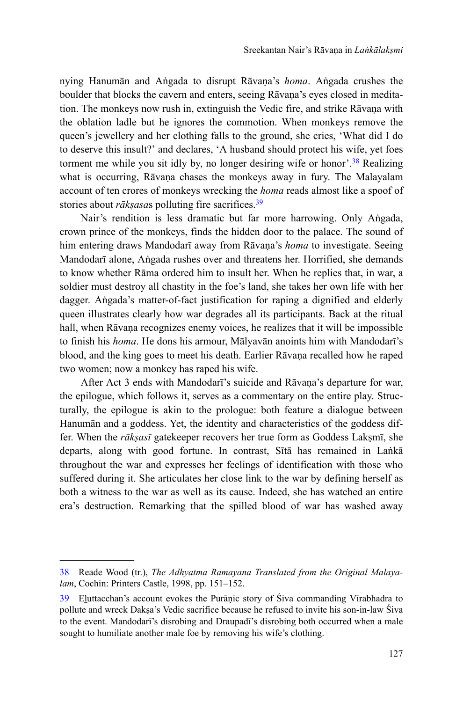nying Hanumān and Aṅgada to disrupt Rāvaṇa's *homa*. Aṅgada crushes the boulder that blocks the cavern and enters, seeing Rāvaṇa's eyes closed in meditation. The monkeys now rush in, extinguish the Vedic fire, and strike Rāvaṇa with the oblation ladle but he ignores the commotion. When monkeys remove the queen's jewellery and her clothing falls to the ground, she cries, 'What did I do to deserve this insult?' and declares, 'A husband should protect his wife, yet foes torment me while you sit idly by, no longer desiring wife or honor<sup>'</sup>.<sup>38</sup> Realizing what is occurring, Rāvaṇa chases the monkeys away in fury. The Malayalam account of ten crores of monkeys wrecking the *homa* reads almost like a spoof of stories about *rākṣasa*s polluting fire sacrifices.<sup>39</sup>

Nair's rendition is less dramatic but far more harrowing. Only Aṅgada, crown prince of the monkeys, finds the hidden door to the palace. The sound of him entering draws Mandodarī away from Rāvaṇa's *homa* to investigate. Seeing Mandodarī alone, Aṅgada rushes over and threatens her. Horrified, she demands to know whether Rāma ordered him to insult her. When he replies that, in war, a soldier must destroy all chastity in the foe's land, she takes her own life with her dagger. Aṅgada's matter-of-fact justification for raping a dignified and elderly queen illustrates clearly how war degrades all its participants. Back at the ritual hall, when Rāvaṇa recognizes enemy voices, he realizes that it will be impossible to finish his *homa*. He dons his armour, Mālyavān anoints him with Mandodarī's blood, and the king goes to meet his death. Earlier Rāvaṇa recalled how he raped two women; now a monkey has raped his wife.

After Act 3 ends with Mandodarī's suicide and Rāvana's departure for war, the epilogue, which follows it, serves as a commentary on the entire play. Structurally, the epilogue is akin to the prologue: both feature a dialogue between Hanumān and a goddess. Yet, the identity and characteristics of the goddess differ. When the *rākṣasī* gatekeeper recovers her true form as Goddess Lakṣmī, she departs, along with good fortune. In contrast, Sītā has remained in Laṅkā throughout the war and expresses her feelings of identification with those who suffered during it. She articulates her close link to the war by defining herself as both a witness to the war as well as its cause. Indeed, she has watched an entire era's destruction. Remarking that the spilled blood of war has washed away

<sup>38</sup> Reade Wood (tr.), *The Adhyatma Ramayana Translated from the Original Malayalam*, Cochin: Printers Castle, 1998, pp. 151–152.

<sup>39</sup> Eḻuttacchan's account evokes the Purāṇic story of Śiva commanding Vīrabhadra to pollute and wreck Dakṣa's Vedic sacrifice because he refused to invite his son-in-law Śiva to the event. Mandodarī's disrobing and Draupadī's disrobing both occurred when a male sought to humiliate another male foe by removing his wife's clothing.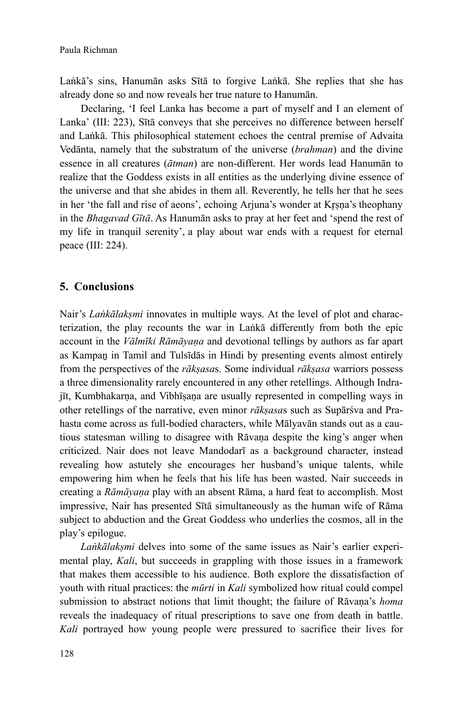Laṅkā's sins, Hanumān asks Sītā to forgive Laṅkā. She replies that she has already done so and now reveals her true nature to Hanumān.

Declaring, 'I feel Lanka has become a part of myself and I an element of Lanka' (III: 223), Sītā conveys that she perceives no difference between herself and Laṅkā. This philosophical statement echoes the central premise of Advaita Vedānta, namely that the substratum of the universe (*brahman*) and the divine essence in all creatures (*ātman*) are non-different. Her words lead Hanumān to realize that the Goddess exists in all entities as the underlying divine essence of the universe and that she abides in them all. Reverently, he tells her that he sees in her 'the fall and rise of aeons', echoing Arjuna's wonder at Krsna's theophany in the *Bhagavad Gītā*. As Hanumān asks to pray at her feet and 'spend the rest of my life in tranquil serenity', a play about war ends with a request for eternal peace (III: 224).

# **5. Conclusions**

Nair's *Lankālakṣmi* innovates in multiple ways. At the level of plot and characterization, the play recounts the war in Laṅkā differently from both the epic account in the *Vālmīki Rāmāyaṇa* and devotional tellings by authors as far apart as Kampaṉ in Tamil and Tulsīdās in Hindi by presenting events almost entirely from the perspectives of the *rākṣasa*s. Some individual *rākṣasa* warriors possess a three dimensionality rarely encountered in any other retellings. Although Indrajīt, Kumbhakarṇa, and Vibhīṣaṇa are usually represented in compelling ways in other retellings of the narrative, even minor *rākṣasa*s such as Supārśva and Prahasta come across as full-bodied characters, while Mālyavān stands out as a cautious statesman willing to disagree with Rāvaṇa despite the king's anger when criticized. Nair does not leave Mandodarī as a background character, instead revealing how astutely she encourages her husband's unique talents, while empowering him when he feels that his life has been wasted. Nair succeeds in creating a *Rāmāyaṇa* play with an absent Rāma, a hard feat to accomplish. Most impressive, Nair has presented Sītā simultaneously as the human wife of Rāma subject to abduction and the Great Goddess who underlies the cosmos, all in the play's epilogue.

*Laṅkālakṣmi* delves into some of the same issues as Nair's earlier experimental play, *Kali*, but succeeds in grappling with those issues in a framework that makes them accessible to his audience. Both explore the dissatisfaction of youth with ritual practices: the *mūrti* in *Kali* symbolized how ritual could compel submission to abstract notions that limit thought; the failure of Rāvaṇa's *homa* reveals the inadequacy of ritual prescriptions to save one from death in battle. *Kali* portrayed how young people were pressured to sacrifice their lives for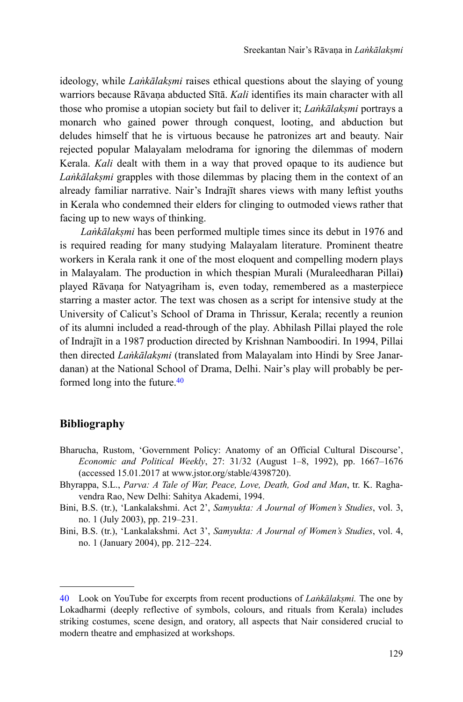ideology, while *Laṅkālakṣmi* raises ethical questions about the slaying of young warriors because Rāvaṇa abducted Sītā. *Kali* identifies its main character with all those who promise a utopian society but fail to deliver it; *Laṅkālakṣmi* portrays a monarch who gained power through conquest, looting, and abduction but deludes himself that he is virtuous because he patronizes art and beauty. Nair rejected popular Malayalam melodrama for ignoring the dilemmas of modern Kerala. *Kali* dealt with them in a way that proved opaque to its audience but *Laṅkālakṣmi* grapples with those dilemmas by placing them in the context of an already familiar narrative. Nair's Indrajīt shares views with many leftist youths in Kerala who condemned their elders for clinging to outmoded views rather that facing up to new ways of thinking.

*Laṅkālakṣmi* has been performed multiple times since its debut in 1976 and is required reading for many studying Malayalam literature. Prominent theatre workers in Kerala rank it one of the most eloquent and compelling modern plays in Malayalam. The production in which thespian Murali (Muraleedharan Pillai**)** played Rāvaṇa for Natyagriham is, even today, remembered as a masterpiece starring a master actor. The text was chosen as a script for intensive study at the University of Calicut's School of Drama in Thrissur, Kerala; recently a reunion of its alumni included a read-through of the play. Abhilash Pillai played the role of Indrajīt in a 1987 production directed by Krishnan Namboodiri. In 1994, Pillai then directed *Laṅkālakṣmi* (translated from Malayalam into Hindi by Sree Janardanan) at the National School of Drama, Delhi. Nair's play will probably be performed long into the future.<sup>40</sup>

#### **Bibliography**

- Bharucha, Rustom, 'Government Policy: Anatomy of an Official Cultural Discourse', *Economic and Political Weekly*, 27: 31/32 (August 1–8, 1992), pp. 1667–1676 (accessed 15.01.2017 at www.jstor.org/stable/4398720).
- Bhyrappa, S.L., *Parva: A Tale of War, Peace, Love, Death, God and Man*, tr. K. Raghavendra Rao, New Delhi: Sahitya Akademi, 1994.
- Bini, B.S. (tr.), 'Lankalakshmi. Act 2', *Samyukta: A Journal of Women's Studies*, vol. 3, no. 1 (July 2003), pp. 219–231.
- Bini, B.S. (tr.), 'Lankalakshmi. Act 3', *Samyukta: A Journal of Women's Studies*, vol. 4, no. 1 (January 2004), pp. 212–224.

<sup>40</sup> Look on YouTube for excerpts from recent productions of *Laṅkālakṣmi.* The one by Lokadharmi (deeply reflective of symbols, colours, and rituals from Kerala) includes striking costumes, scene design, and oratory, all aspects that Nair considered crucial to modern theatre and emphasized at workshops.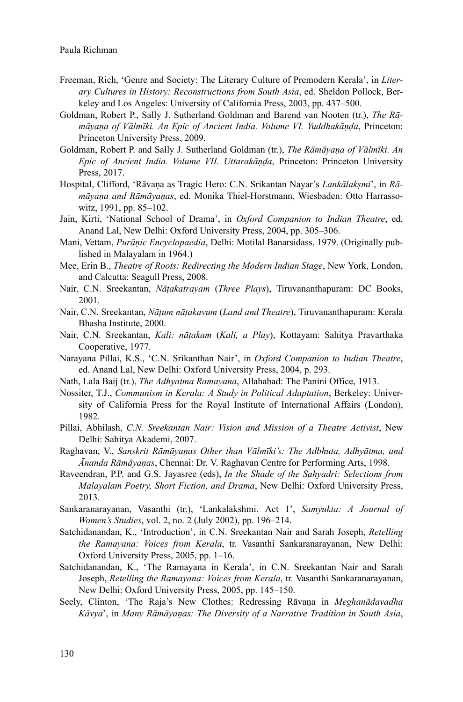- Freeman, Rich, 'Genre and Society: The Literary Culture of Premodern Kerala', in *Literary Cultures in History: Reconstructions from South Asia*, ed. Sheldon Pollock, Berkeley and Los Angeles: University of California Press, 2003, pp. 437–500.
- Goldman, Robert P., Sally J. Sutherland Goldman and Barend van Nooten (tr.), *The Rāmāyaṇa of Vālmīki. An Epic of Ancient India. Volume VI. Yuddhakāṇḍa*, Princeton: Princeton University Press, 2009.
- Goldman, Robert P. and Sally J. Sutherland Goldman (tr.), *The Rāmāyaṇa of Vālmīki. An Epic of Ancient India. Volume VII. Uttarakāṇḍa*, Princeton: Princeton University Press, 2017.
- Hospital, Clifford, 'Rāvaṇa as Tragic Hero: C.N. Srikantan Nayar's *Lankālakṣmi*', in *Rāmāyaṇa and Rāmāyaṇas*, ed. Monika Thiel-Horstmann, Wiesbaden: Otto Harrassowitz, 1991, pp. 85–102.
- Jain, Kirti, 'National School of Drama', in *Oxford Companion to Indian Theatre*, ed. Anand Lal, New Delhi: Oxford University Press, 2004, pp. 305–306.
- Mani, Vettam, *Purāṇic Encyclopaedia*, Delhi: Motilal Banarsidass, 1979. (Originally published in Malayalam in 1964.)
- Mee, Erin B., *Theatre of Roots: Redirecting the Modern Indian Stage*, New York, London, and Calcutta: Seagull Press, 2008.
- Nair, C.N. Sreekantan, *Nāṭakatrayam* (*Three Plays*), Tiruvananthapuram: DC Books, 2001.
- Nair, C.N. Sreekantan, *Nāṭum nāṭakavum* (*Land and Theatre*), Tiruvananthapuram: Kerala Bhasha Institute, 2000.
- Nair, C.N. Sreekantan, *Kali: nāṭakam* (*Kali, a Play*), Kottayam: Sahitya Pravarthaka Cooperative, 1977.
- Narayana Pillai, K.S., 'C.N. Srikanthan Nair', in *Oxford Companion to Indian Theatre*, ed. Anand Lal, New Delhi: Oxford University Press, 2004, p. 293.
- Nath, Lala Baij (tr.), *The Adhyatma Ramayana*, Allahabad: The Panini Office, 1913.
- Nossiter, T.J., *Communism in Kerala: A Study in Political Adaptation*, Berkeley: University of California Press for the Royal Institute of International Affairs (London), 1982.
- Pillai, Abhilash, *C.N. Sreekantan Nair: Vision and Mission of a Theatre Activist*, New Delhi: Sahitya Akademi, 2007.
- Raghavan, V., *Sanskrit Rāmāyaṇas Other than Vālmīki's: The Adbhuta, Adhyātma, and Ānanda Rāmāyaṇas*, Chennai: Dr. V. Raghavan Centre for Performing Arts, 1998.
- Raveendran, P.P. and G.S. Jayasree (eds), *In the Shade of the Sahyadri: Selections from Malayalam Poetry, Short Fiction, and Drama*, New Delhi: Oxford University Press, 2013.
- Sankaranarayanan, Vasanthi (tr.), 'Lankalakshmi. Act 1', *Samyukta: A Journal of Women's Studies*, vol. 2, no. 2 (July 2002), pp. 196–214.
- Satchidanandan, K., 'Introduction', in C.N. Sreekantan Nair and Sarah Joseph, *Retelling the Ramayana: Voices from Kerala*, tr. Vasanthi Sankaranarayanan, New Delhi: Oxford University Press, 2005, pp. 1–16.
- Satchidanandan, K., 'The Ramayana in Kerala', in C.N. Sreekantan Nair and Sarah Joseph, *Retelling the Ramayana: Voices from Kerala*, tr. Vasanthi Sankaranarayanan, New Delhi: Oxford University Press, 2005, pp. 145–150.
- Seely, Clinton, 'The Raja's New Clothes: Redressing Rāvaṇa in *Meghanādavadha Kāvya*', in *Many Rāmāyaṇas: The Diversity of a Narrative Tradition in South Asia*,